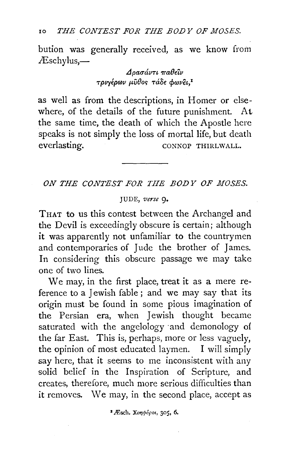10 *THE CONTEST FOR THE BODY OF MOSES.* 

bution was generally received, as we know from  $\mathcal{E}$ schylus,—

> *LlpauavT£ 7ra0eiv*   $T$ *pv*γέρων μύθος τάδε φωνει.<sup>1</sup>

as well as from the descriptions, in Homer or elsewhere, of the details of the future punishment. At the same time, the death of which the Apostle here speaks is not simply the loss of mortal life, but death everlasting. CONNOP THIRLWALL.

ON THE CONTEST FOR THE BODY OF MOSES.

## JUDE, *verse* 9•

THAT to us this contest between the Archangel and the Devil is exceedingly obscure is certain; although it was apparently not unfamiliar to the countrymen and contemporaries of Jude the brother of James. In considering this obscure passage we may take one of two lines.

We may, in the first place, treat it as a mere reference to a Jewish fable ; and we may say that its origin must be found in some pious imagination of the Persian era, when Jewish thought became saturated with the angelology and demonology of the far East. This is, perhaps, more or less vaguely, the opinion of most educated laymen. I will simply say here, that it seems to me inconsistent with any solid belief in the Inspiration of Scripture, and creates, therefore, much more serious difficulties than it removes. We may, in the second place, accept as

<sup>2</sup> Æsch. Xonpópot, 305, 6.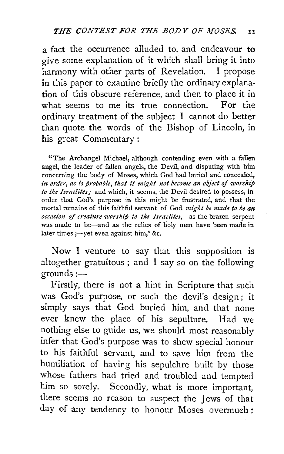a fact the occurrence alluded to, and endeavour to give some explanation of it which shall bring it into harmony with other parts of Revelation. I propose in this paper to examine briefly the ordinary explanation of this obscure reference, and then to place it in what seems to me its true connection. For the ordinary treatment of the subject I cannot do better than quote the words of the Bishop of Lincoln, in his great Commentary :

"The Archangel Michael, although ·contending even with a failen angel, the leader of fallen angels, the Devil, and disputing with him concerning the body of Moses, which God had buried and concealed, in order, as is probable, that it might not become an object of worship to the Israelites; and which, it seems, the Devil desired to possess, in order that God's purpose in this might be frustrated, and that the mortal remains of this faithful servant of God *might be made to be an occasion of creature-worship to the Israelites,-as* the brazen serpent was made to be-and as the relics of holy men have been made in later times ;--yet even against him," &c.

Now I venture to say that this supposition is altogether gratuitous ; and I say so on the following grounds:-

Firstly, there is not a hint in Scripture that such was God's purpose, or such the devil's design; it simply says that God buried him, and that none ever knew the place of his sepulture. Had we nothing else to guide us, we should most reasonably infer that God's purpose was to shew special honour to his faithful servant, and to save him from the humiliation of having his sepulchre built by those whose fathers had tried and troubled and tempted him so sorely. Secondly, what is more important, there seems no reason to suspect the Jews of that day of any tendency to honour Moses overmuch: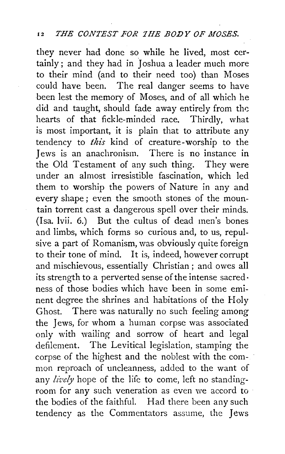they never had done so while he lived, most certainly ; and they had in Joshua a leader much more to their mind (and to their need too) than Moses could have been. The real danger seems to have been lest the memory of Moses, and of all which he did and taught, should fade away entirely from the hearts of that fickle-minded race. Thirdly, what is most important, it is plain that to attribute any tendency to *this* kind of creature-worship to the Jews is an anachronism. There is no instance in the Old Testament of any such thing. They were under an almost irresistible fascination, which led them to worship the powers of Nature in any and every shape ; even the smooth stones of the mountain torrent cast a dangerous spell over their minds. (Isa. lvii. 6.) But the cultus of dead men's bones and limbs, which forms so curious and, to us, repulsive a part of Romanism, was obviously quite foreign to their tone of mind. It is, indeed, however corrupt and mischievous, essentially Christian ; and owes all its strength to a perverted sense of the intense sacred· ness of those bodies which have been in some eminent degree the shrines and habitations of the Holy Ghost. There was naturally no such feeling among the Jews, for whom a human corpse was associated only with wailing and sorrow of heart and legal defilement. The Levitical legislation, stamping the corpse of the highest and the noblest with the common reproach of uncleanness, added to the want of any lively hope of the life to come, left no standingroom for any such veneration as even we accord to · the bodies of the faithful. Had there been any such tendency as the Commentators assume, the Jews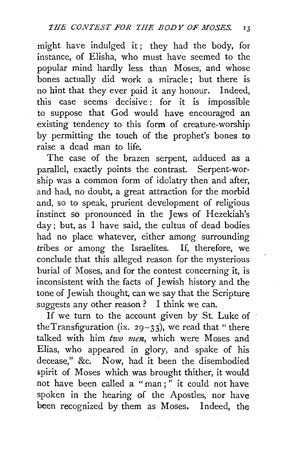might have indulged it ; they had the body, for instance, of Elisha, who must have seemed to the popular mind hardly less than Moses, and whose bones actually did work a miracle; but there is no hint that they ever paid it any honour. Indeed, this case seems decisive: for it is impossible to suppose that God would have encouraged an existing tendency to this form of creature-worship by permitting the touch of the prophet's bones to raise a dead man to life.

The case of the brazen serpent, adduced as a parallel, exactly points the contrast. Serpent-worship was a common form of idolatry then and after, and had, no doubt, a great attraction for the morbid and, so to speak, prurient development of religious instinct so pronounced in the Jews of Hezekiah's day; but, as I have said, the cultus of dead bodies had no place whatever, either among surrounding tribes or among the Israelites. If, therefore, we conclude that this alleged reason for the mysterious burial of Moses, and for the contest concerning it, is inconsistent with the facts of Jewish history and the tone of Jewish thought, can we say that the Scripture suggests any other reason ? I think we can.

If we turn to the account given by St. Luke of the Transfiguration (ix. 29-33), we read that "there talked with him *two men,* which were Moses and Elias, who appeared in glory, and spake of his decease," &c. Now, had it been the disembodied spirit of Moses which was brought thither, it would not have been called a "man;" it could not have spoken in the hearing of the Apostles, nor have been recognized by them as Moses. Indeed, the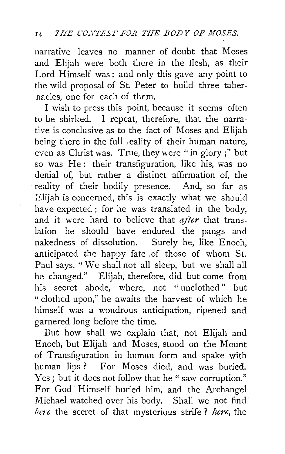narrative leaves no manner of doubt that Moses and Elijah were both there in the flesh, as their Lord Himself was; and only this gave any point to the wild proposal of St. Peter to build three tabernacles, one for each of them.

I wish to press this point, because it seems often to be shirked. I repeat, therefore, that the narrative is conclusive as to the fact of Moses and Elijah being there in the full reality of their human nature, even as Christ was. True, they were "in glory;" but so was He: their transfiguration, like his, was no denial of, but rather a distinct affirmation of, the reality of their bodily presence. And, so far as Elijah is concerned, this is exactly what we should have expected; for he was translated in the body, and it were hard to believe that *after* that translation he should have endured the pangs and nakedness of dissolution. Surely he, like Enoch, anticipated the happy fate .of those of whom St. Paul says, "We shall not all sleep, but we shall all *be* changed." Elijah, therefore, did but come from his secret abode, where, not "unclothed" but "clothed upon," he awaits the harvest of which he himself was a wondrous anticipation, ripened and garnered long before the time.

But how shall we explain that, not Elijah and Enoch, but Elijah and Moses, stood on the Mount of Transfiguration in human form and spake with human lips? For Moses died, and was buried. Yes ; but it does not follow that he " saw corruption." For God· Himself buried him, and the Archangel Michael watched over his body. Shall we not find· *here* the secret of that mysterious strife ? *here,* the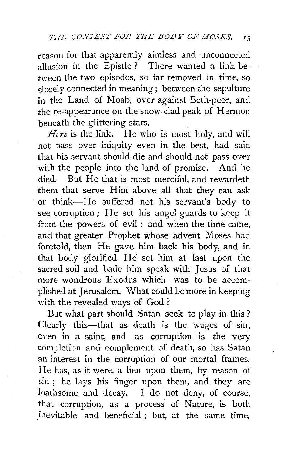reason for that apparently aimless and unconnected allusion in the Epistle? There wanted a link between the two episodes, so far removed in time, so dosely connected in meaning; between the sepulture in the Land of Moab, over against Beth-peor, and the re-appearance on the snow-clad peak of Hermon beneath the glittering stars.

*Here* is the link. He who is most holy, and will not pass over iniquity even in the best, had said that his servant should die and should not pass over with the people into the land of promise. And he died. But He that is most merciful, and rewardeth them that serve Him above all that they can ask or think-He suffered not his servant's body to see corruption; He set his angel guards to keep it from the powers of evil : and when the time came, and that greater Prophet whose advent Moses had foretold, then He gave him back his body, and in that body glorified He set him at last upon the sacred soil and bade him speak with Jesus of that more wondrous Exodus which was to be accomplished at Jerusalem. What could be more in keeping with the revealed ways of God?

But what part should Satan seek to play in this? Clearly this-that as death is the wages of sin, even in a saint, and as corruption is the very completion and complement of death, so has Satan an interest in the corruption of our mortal frames. He has, as it were, a lien upon them, by reason of  $sin$ ; he lays his finger upon them, and they are loathsome, and decay. I do not deny, of course, that corruption, as a process of Nature, is both inevitable and beneficial ; but, at the same time,